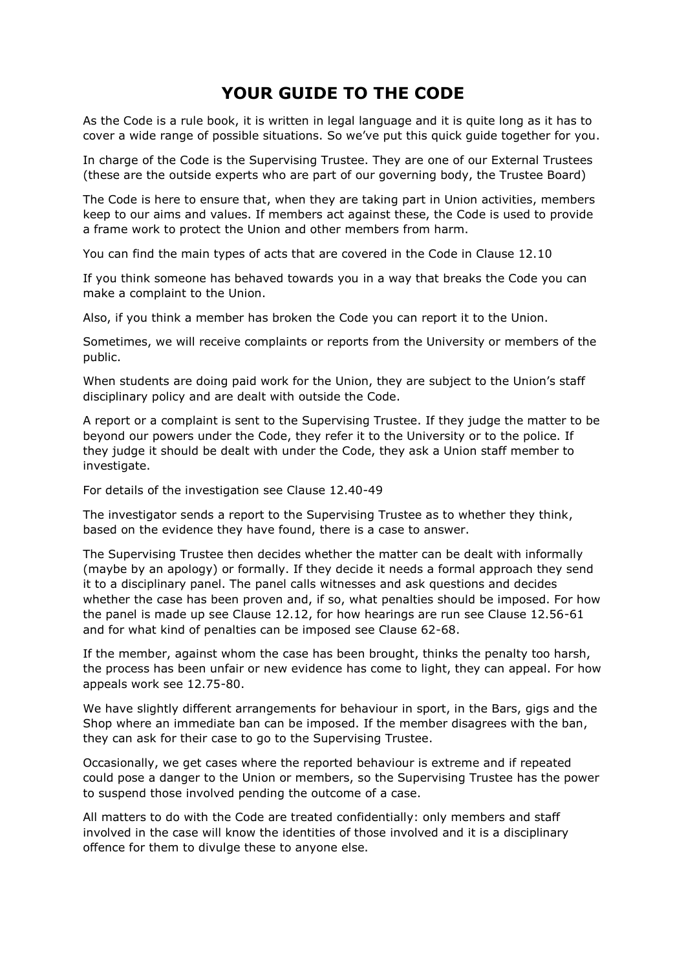# **YOUR GUIDE TO THE CODE**

As the Code is a rule book, it is written in legal language and it is quite long as it has to cover a wide range of possible situations. So we've put this quick guide together for you.

In charge of the Code is the Supervising Trustee. They are one of our External Trustees (these are the outside experts who are part of our governing body, the Trustee Board)

The Code is here to ensure that, when they are taking part in Union activities, members keep to our aims and values. If members act against these, the Code is used to provide a frame work to protect the Union and other members from harm.

You can find the main types of acts that are covered in the Code in Clause 12.10

If you think someone has behaved towards you in a way that breaks the Code you can make a complaint to the Union.

Also, if you think a member has broken the Code you can report it to the Union.

Sometimes, we will receive complaints or reports from the University or members of the public.

When students are doing paid work for the Union, they are subject to the Union's staff disciplinary policy and are dealt with outside the Code.

A report or a complaint is sent to the Supervising Trustee. If they judge the matter to be beyond our powers under the Code, they refer it to the University or to the police. If they judge it should be dealt with under the Code, they ask a Union staff member to investigate.

For details of the investigation see Clause 12.40-49

The investigator sends a report to the Supervising Trustee as to whether they think, based on the evidence they have found, there is a case to answer.

The Supervising Trustee then decides whether the matter can be dealt with informally (maybe by an apology) or formally. If they decide it needs a formal approach they send it to a disciplinary panel. The panel calls witnesses and ask questions and decides whether the case has been proven and, if so, what penalties should be imposed. For how the panel is made up see Clause 12.12, for how hearings are run see Clause 12.56-61 and for what kind of penalties can be imposed see Clause 62-68.

If the member, against whom the case has been brought, thinks the penalty too harsh, the process has been unfair or new evidence has come to light, they can appeal. For how appeals work see 12.75-80.

We have slightly different arrangements for behaviour in sport, in the Bars, gigs and the Shop where an immediate ban can be imposed. If the member disagrees with the ban, they can ask for their case to go to the Supervising Trustee.

Occasionally, we get cases where the reported behaviour is extreme and if repeated could pose a danger to the Union or members, so the Supervising Trustee has the power to suspend those involved pending the outcome of a case.

All matters to do with the Code are treated confidentially: only members and staff involved in the case will know the identities of those involved and it is a disciplinary offence for them to divulge these to anyone else.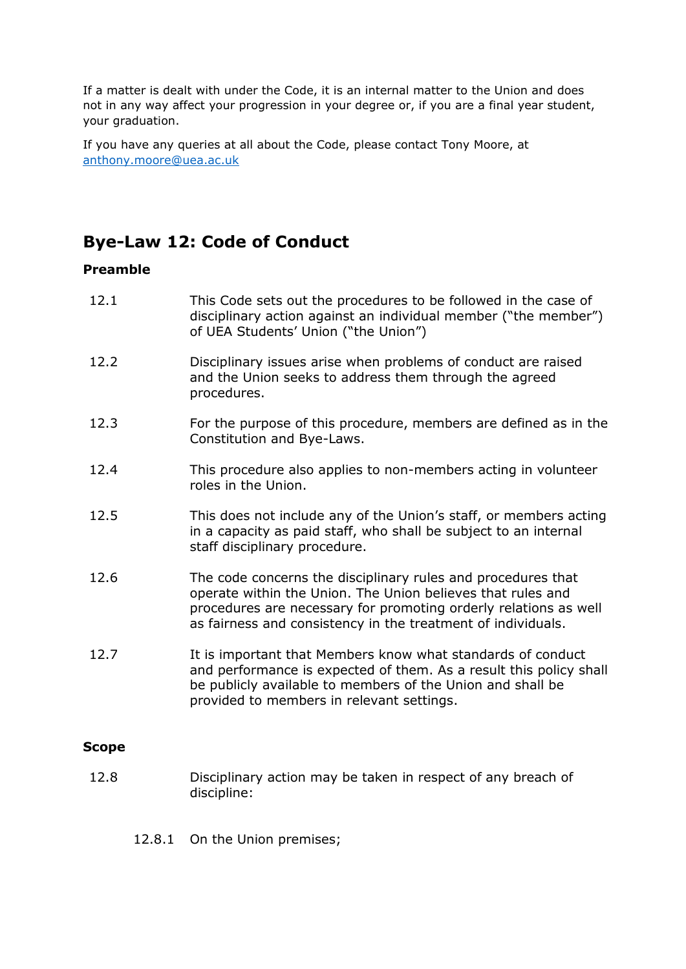If a matter is dealt with under the Code, it is an internal matter to the Union and does not in any way affect your progression in your degree or, if you are a final year student, your graduation.

If you have any queries at all about the Code, please contact Tony Moore, at [anthony.moore@uea.ac.uk](mailto:anthony.moore@uea.ac.uk) 

# **Bye-Law 12: Code of Conduct**

## **Preamble**

| 12.1         | This Code sets out the procedures to be followed in the case of<br>disciplinary action against an individual member ("the member")<br>of UEA Students' Union ("the Union")                                                                                      |
|--------------|-----------------------------------------------------------------------------------------------------------------------------------------------------------------------------------------------------------------------------------------------------------------|
| 12.2         | Disciplinary issues arise when problems of conduct are raised<br>and the Union seeks to address them through the agreed<br>procedures.                                                                                                                          |
| 12.3         | For the purpose of this procedure, members are defined as in the<br>Constitution and Bye-Laws.                                                                                                                                                                  |
| 12.4         | This procedure also applies to non-members acting in volunteer<br>roles in the Union.                                                                                                                                                                           |
| 12.5         | This does not include any of the Union's staff, or members acting<br>in a capacity as paid staff, who shall be subject to an internal<br>staff disciplinary procedure.                                                                                          |
| 12.6         | The code concerns the disciplinary rules and procedures that<br>operate within the Union. The Union believes that rules and<br>procedures are necessary for promoting orderly relations as well<br>as fairness and consistency in the treatment of individuals. |
| 12.7         | It is important that Members know what standards of conduct<br>and performance is expected of them. As a result this policy shall<br>be publicly available to members of the Union and shall be<br>provided to members in relevant settings.                    |
| <b>Scope</b> |                                                                                                                                                                                                                                                                 |
| 12.8         | Disciplinary action may be taken in respect of any breach of<br>discipline:                                                                                                                                                                                     |

## 12.8.1 On the Union premises;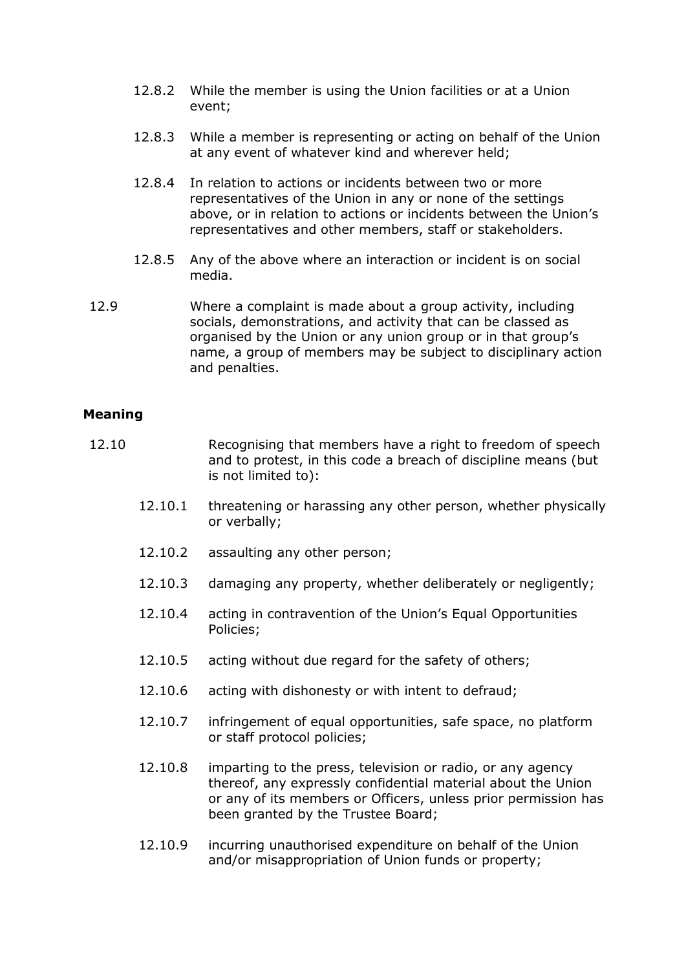- 12.8.2 While the member is using the Union facilities or at a Union event;
- 12.8.3 While a member is representing or acting on behalf of the Union at any event of whatever kind and wherever held;
- 12.8.4 In relation to actions or incidents between two or more representatives of the Union in any or none of the settings above, or in relation to actions or incidents between the Union's representatives and other members, staff or stakeholders.
- 12.8.5 Any of the above where an interaction or incident is on social media.
- 12.9 Where a complaint is made about a group activity, including socials, demonstrations, and activity that can be classed as organised by the Union or any union group or in that group's name, a group of members may be subject to disciplinary action and penalties.

## **Meaning**

- 12.10 Recognising that members have a right to freedom of speech and to protest, in this code a breach of discipline means (but is not limited to):
	- 12.10.1 threatening or harassing any other person, whether physically or verbally;
	- 12.10.2 assaulting any other person;
	- 12.10.3 damaging any property, whether deliberately or negligently;
	- 12.10.4 acting in contravention of the Union's Equal Opportunities Policies;
	- 12.10.5 acting without due regard for the safety of others;
	- 12.10.6 acting with dishonesty or with intent to defraud;
	- 12.10.7 infringement of equal opportunities, safe space, no platform or staff protocol policies;
	- 12.10.8 imparting to the press, television or radio, or any agency thereof, any expressly confidential material about the Union or any of its members or Officers, unless prior permission has been granted by the Trustee Board;
	- 12.10.9 incurring unauthorised expenditure on behalf of the Union and/or misappropriation of Union funds or property;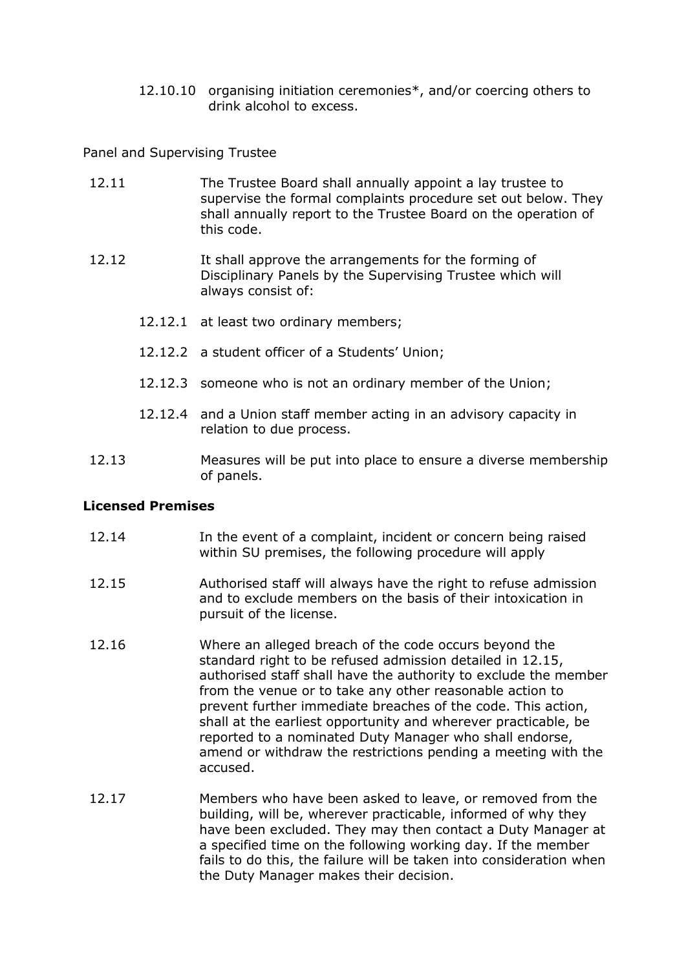12.10.10 organising initiation ceremonies\*, and/or coercing others to drink alcohol to excess.

Panel and Supervising Trustee

| 12.11 | The Trustee Board shall annually appoint a lay trustee to<br>supervise the formal complaints procedure set out below. They<br>shall annually report to the Trustee Board on the operation of<br>this code. |
|-------|------------------------------------------------------------------------------------------------------------------------------------------------------------------------------------------------------------|
| 12.12 | It shall approve the arrangements for the forming of<br>Disciplinary Panels by the Supervising Trustee which will<br>always consist of:                                                                    |
|       | 12.12.1 at least two ordinary members;                                                                                                                                                                     |
|       | 12.12.2 a student officer of a Students' Union;                                                                                                                                                            |
|       | 12.12.3 someone who is not an ordinary member of the Union;                                                                                                                                                |

- 12.12.4 and a Union staff member acting in an advisory capacity in relation to due process.
- 12.13 Measures will be put into place to ensure a diverse membership of panels.

#### **Licensed Premises**

- 12.14 In the event of a complaint, incident or concern being raised within SU premises, the following procedure will apply
- 12.15 Authorised staff will always have the right to refuse admission and to exclude members on the basis of their intoxication in pursuit of the license.
- 12.16 Where an alleged breach of the code occurs beyond the standard right to be refused admission detailed in 12.15, authorised staff shall have the authority to exclude the member from the venue or to take any other reasonable action to prevent further immediate breaches of the code. This action, shall at the earliest opportunity and wherever practicable, be reported to a nominated Duty Manager who shall endorse, amend or withdraw the restrictions pending a meeting with the accused.
- 12.17 Members who have been asked to leave, or removed from the building, will be, wherever practicable, informed of why they have been excluded. They may then contact a Duty Manager at a specified time on the following working day. If the member fails to do this, the failure will be taken into consideration when the Duty Manager makes their decision.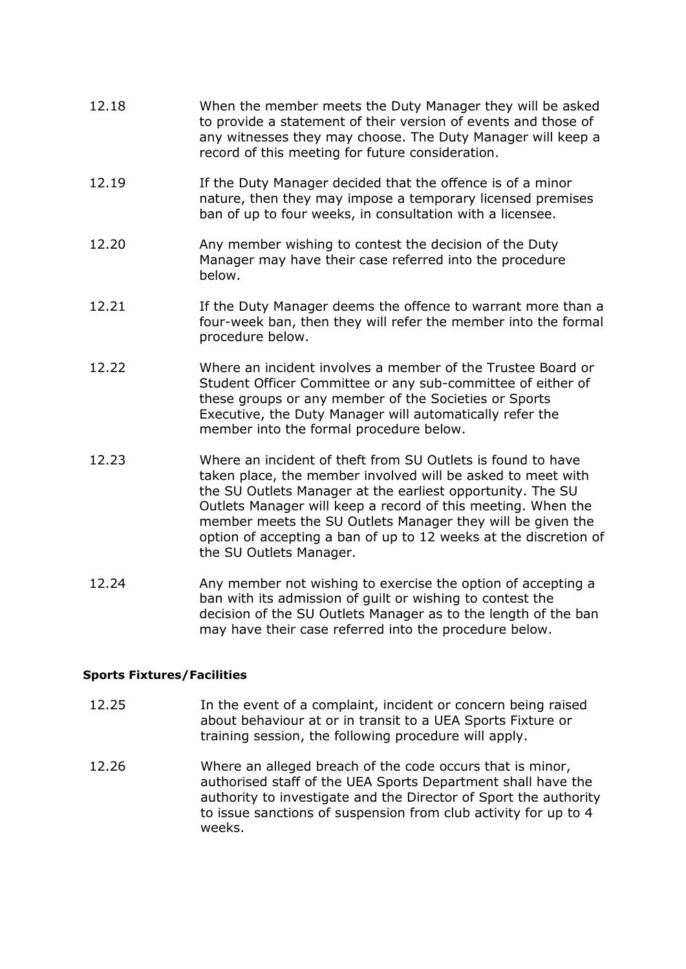- 12.18 When the member meets the Duty Manager they will be asked to provide a statement of their version of events and those of any witnesses they may choose. The Duty Manager will keep a record of this meeting for future consideration.
- 12.19 If the Duty Manager decided that the offence is of a minor nature, then they may impose a temporary licensed premises ban of up to four weeks, in consultation with a licensee.
- 12.20 Any member wishing to contest the decision of the Duty Manager may have their case referred into the procedure below.
- 12.21 If the Duty Manager deems the offence to warrant more than a four-week ban, then they will refer the member into the formal procedure below.
- 12.22 Where an incident involves a member of the Trustee Board or Student Officer Committee or any sub-committee of either of these groups or any member of the Societies or Sports Executive, the Duty Manager will automatically refer the member into the formal procedure below.
- 12.23 Where an incident of theft from SU Outlets is found to have taken place, the member involved will be asked to meet with the SU Outlets Manager at the earliest opportunity. The SU Outlets Manager will keep a record of this meeting. When the member meets the SU Outlets Manager they will be given the option of accepting a ban of up to 12 weeks at the discretion of the SU Outlets Manager.
- 12.24 Any member not wishing to exercise the option of accepting a ban with its admission of guilt or wishing to contest the decision of the SU Outlets Manager as to the length of the ban may have their case referred into the procedure below.

#### **Sports Fixtures/Facilities**

- 12.25 In the event of a complaint, incident or concern being raised about behaviour at or in transit to a UEA Sports Fixture or training session, the following procedure will apply.
- 12.26 Where an alleged breach of the code occurs that is minor, authorised staff of the UEA Sports Department shall have the authority to investigate and the Director of Sport the authority to issue sanctions of suspension from club activity for up to 4 weeks.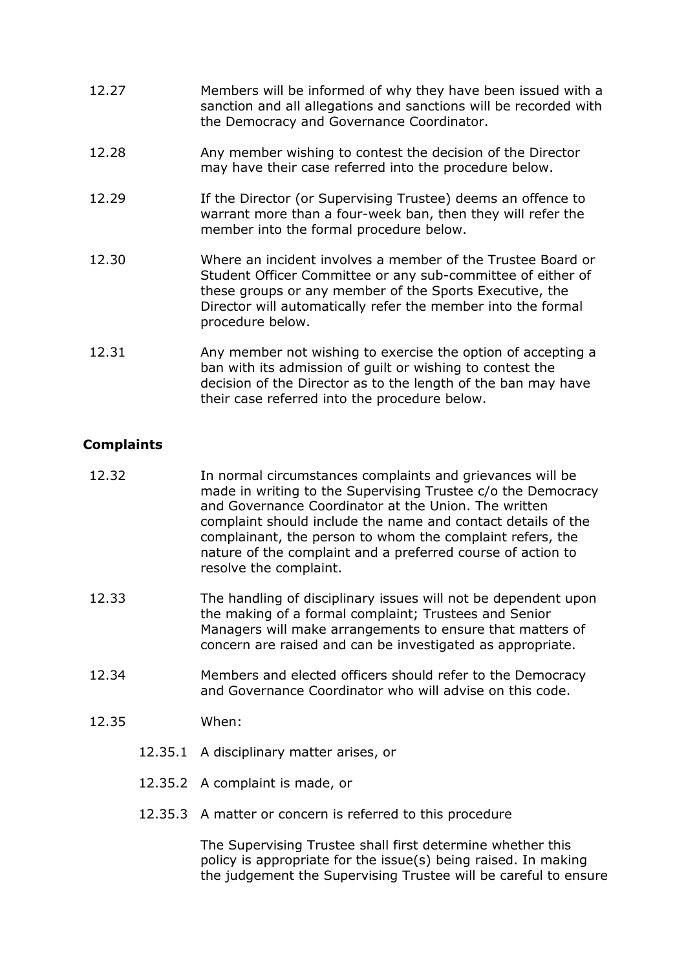- 12.27 Members will be informed of why they have been issued with a sanction and all allegations and sanctions will be recorded with the Democracy and Governance Coordinator.
- 12.28 Any member wishing to contest the decision of the Director may have their case referred into the procedure below.
- 12.29 **If the Director (or Supervising Trustee)** deems an offence to warrant more than a four-week ban, then they will refer the member into the formal procedure below.
- 12.30 Where an incident involves a member of the Trustee Board or Student Officer Committee or any sub-committee of either of these groups or any member of the Sports Executive, the Director will automatically refer the member into the formal procedure below.
- 12.31 Any member not wishing to exercise the option of accepting a ban with its admission of guilt or wishing to contest the decision of the Director as to the length of the ban may have their case referred into the procedure below.

## **Complaints**

- 12.32 In normal circumstances complaints and grievances will be made in writing to the Supervising Trustee c/o the Democracy and Governance Coordinator at the Union. The written complaint should include the name and contact details of the complainant, the person to whom the complaint refers, the nature of the complaint and a preferred course of action to resolve the complaint.
- 12.33 The handling of disciplinary issues will not be dependent upon the making of a formal complaint; Trustees and Senior Managers will make arrangements to ensure that matters of concern are raised and can be investigated as appropriate.
- 12.34 Members and elected officers should refer to the Democracy and Governance Coordinator who will advise on this code.
- 12.35 When:
	- 12.35.1 A disciplinary matter arises, or
	- 12.35.2 A complaint is made, or
	- 12.35.3 A matter or concern is referred to this procedure

The Supervising Trustee shall first determine whether this policy is appropriate for the issue(s) being raised. In making the judgement the Supervising Trustee will be careful to ensure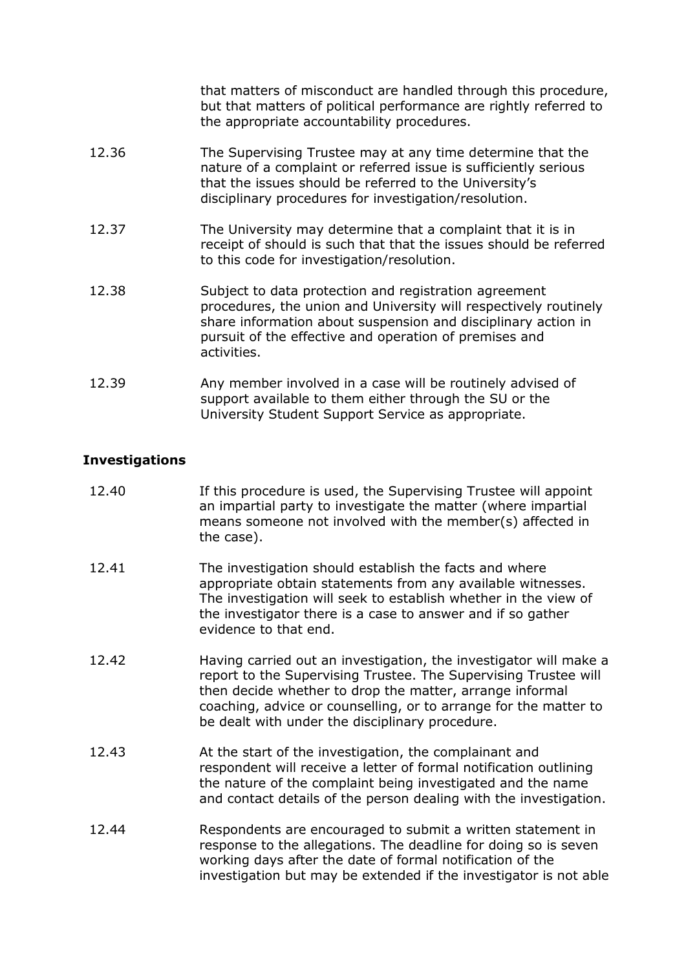that matters of misconduct are handled through this procedure, but that matters of political performance are rightly referred to the appropriate accountability procedures.

| 12.36 | The Supervising Trustee may at any time determine that the<br>nature of a complaint or referred issue is sufficiently serious<br>that the issues should be referred to the University's<br>disciplinary procedures for investigation/resolution.                    |
|-------|---------------------------------------------------------------------------------------------------------------------------------------------------------------------------------------------------------------------------------------------------------------------|
| 12.37 | The University may determine that a complaint that it is in<br>receipt of should is such that that the issues should be referred<br>to this code for investigation/resolution.                                                                                      |
| 12.38 | Subject to data protection and registration agreement<br>procedures, the union and University will respectively routinely<br>share information about suspension and disciplinary action in<br>pursuit of the effective and operation of premises and<br>activities. |

12.39 Any member involved in a case will be routinely advised of support available to them either through the SU or the University Student Support Service as appropriate.

## **Investigations**

| 12.40 | If this procedure is used, the Supervising Trustee will appoint<br>an impartial party to investigate the matter (where impartial<br>means someone not involved with the member(s) affected in<br>the case). |
|-------|-------------------------------------------------------------------------------------------------------------------------------------------------------------------------------------------------------------|
|       |                                                                                                                                                                                                             |

- 12.41 The investigation should establish the facts and where appropriate obtain statements from any available witnesses. The investigation will seek to establish whether in the view of the investigator there is a case to answer and if so gather evidence to that end.
- 12.42 Having carried out an investigation, the investigator will make a report to the Supervising Trustee. The Supervising Trustee will then decide whether to drop the matter, arrange informal coaching, advice or counselling, or to arrange for the matter to be dealt with under the disciplinary procedure.
- 12.43 At the start of the investigation, the complainant and respondent will receive a letter of formal notification outlining the nature of the complaint being investigated and the name and contact details of the person dealing with the investigation.
- 12.44 Respondents are encouraged to submit a written statement in response to the allegations. The deadline for doing so is seven working days after the date of formal notification of the investigation but may be extended if the investigator is not able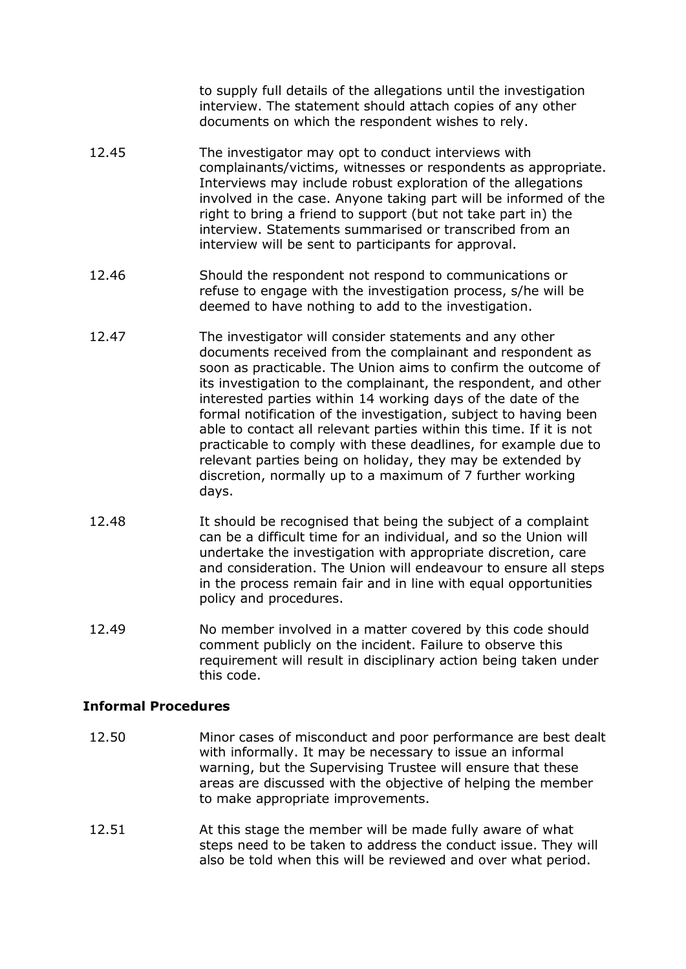to supply full details of the allegations until the investigation interview. The statement should attach copies of any other documents on which the respondent wishes to rely.

- 12.45 The investigator may opt to conduct interviews with complainants/victims, witnesses or respondents as appropriate. Interviews may include robust exploration of the allegations involved in the case. Anyone taking part will be informed of the right to bring a friend to support (but not take part in) the interview. Statements summarised or transcribed from an interview will be sent to participants for approval.
- 12.46 Should the respondent not respond to communications or refuse to engage with the investigation process, s/he will be deemed to have nothing to add to the investigation.
- 12.47 The investigator will consider statements and any other documents received from the complainant and respondent as soon as practicable. The Union aims to confirm the outcome of its investigation to the complainant, the respondent, and other interested parties within 14 working days of the date of the formal notification of the investigation, subject to having been able to contact all relevant parties within this time. If it is not practicable to comply with these deadlines, for example due to relevant parties being on holiday, they may be extended by discretion, normally up to a maximum of 7 further working days.
- 12.48 It should be recognised that being the subject of a complaint can be a difficult time for an individual, and so the Union will undertake the investigation with appropriate discretion, care and consideration. The Union will endeavour to ensure all steps in the process remain fair and in line with equal opportunities policy and procedures.
- 12.49 No member involved in a matter covered by this code should comment publicly on the incident. Failure to observe this requirement will result in disciplinary action being taken under this code.

## **Informal Procedures**

- 12.50 Minor cases of misconduct and poor performance are best dealt with informally. It may be necessary to issue an informal warning, but the Supervising Trustee will ensure that these areas are discussed with the objective of helping the member to make appropriate improvements.
- 12.51 At this stage the member will be made fully aware of what steps need to be taken to address the conduct issue. They will also be told when this will be reviewed and over what period.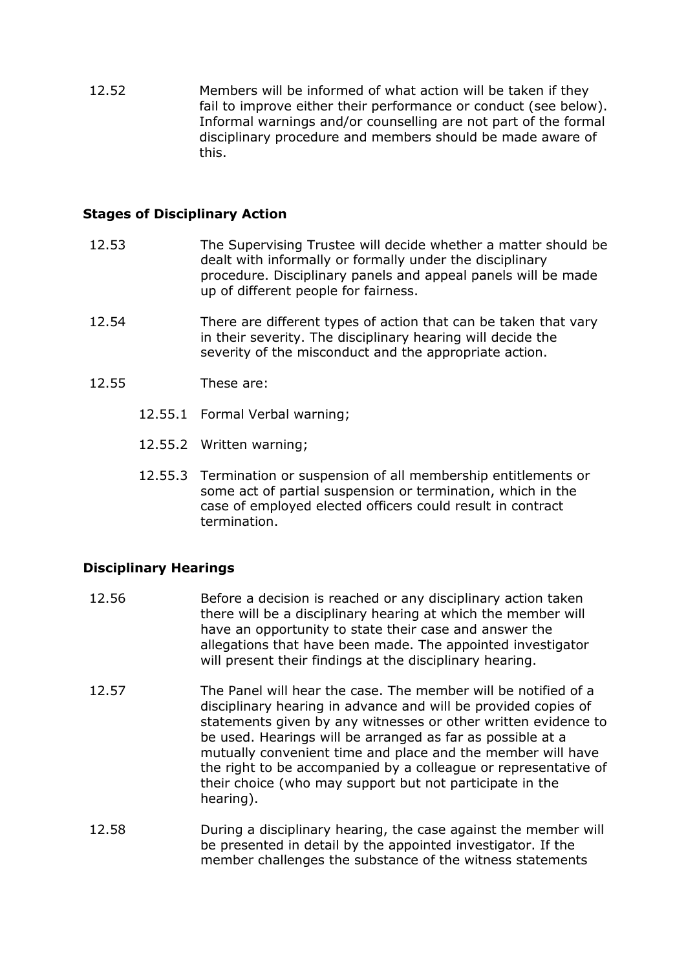12.52 Members will be informed of what action will be taken if they fail to improve either their performance or conduct (see below). Informal warnings and/or counselling are not part of the formal disciplinary procedure and members should be made aware of this.

### **Stages of Disciplinary Action**

- 12.53 The Supervising Trustee will decide whether a matter should be dealt with informally or formally under the disciplinary procedure. Disciplinary panels and appeal panels will be made up of different people for fairness.
- 12.54 There are different types of action that can be taken that vary in their severity. The disciplinary hearing will decide the severity of the misconduct and the appropriate action.
- 12.55 These are:
	- 12.55.1 Formal Verbal warning;
	- 12.55.2 Written warning;
	- 12.55.3 Termination or suspension of all membership entitlements or some act of partial suspension or termination, which in the case of employed elected officers could result in contract termination.

## **Disciplinary Hearings**

- 12.56 Before a decision is reached or any disciplinary action taken there will be a disciplinary hearing at which the member will have an opportunity to state their case and answer the allegations that have been made. The appointed investigator will present their findings at the disciplinary hearing.
- 12.57 The Panel will hear the case. The member will be notified of a disciplinary hearing in advance and will be provided copies of statements given by any witnesses or other written evidence to be used. Hearings will be arranged as far as possible at a mutually convenient time and place and the member will have the right to be accompanied by a colleague or representative of their choice (who may support but not participate in the hearing).
- 12.58 During a disciplinary hearing, the case against the member will be presented in detail by the appointed investigator. If the member challenges the substance of the witness statements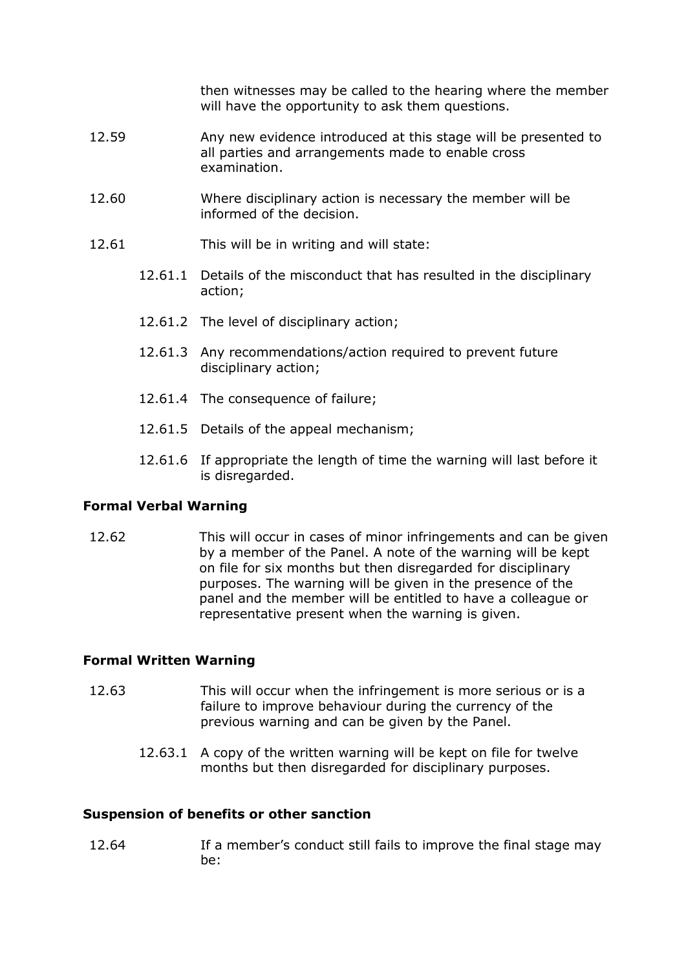then witnesses may be called to the hearing where the member will have the opportunity to ask them questions.

- 12.59 Any new evidence introduced at this stage will be presented to all parties and arrangements made to enable cross examination.
- 12.60 Where disciplinary action is necessary the member will be informed of the decision.
- 12.61 This will be in writing and will state:
	- 12.61.1 Details of the misconduct that has resulted in the disciplinary action;
	- 12.61.2 The level of disciplinary action;
	- 12.61.3 Any recommendations/action required to prevent future disciplinary action;
	- 12.61.4 The consequence of failure;
	- 12.61.5 Details of the appeal mechanism;
	- 12.61.6 If appropriate the length of time the warning will last before it is disregarded.

#### **Formal Verbal Warning**

12.62 This will occur in cases of minor infringements and can be given by a member of the Panel. A note of the warning will be kept on file for six months but then disregarded for disciplinary purposes. The warning will be given in the presence of the panel and the member will be entitled to have a colleague or representative present when the warning is given.

#### **Formal Written Warning**

- 12.63 This will occur when the infringement is more serious or is a failure to improve behaviour during the currency of the previous warning and can be given by the Panel.
	- 12.63.1 A copy of the written warning will be kept on file for twelve months but then disregarded for disciplinary purposes.

#### **Suspension of benefits or other sanction**

12.64 If a member's conduct still fails to improve the final stage may be: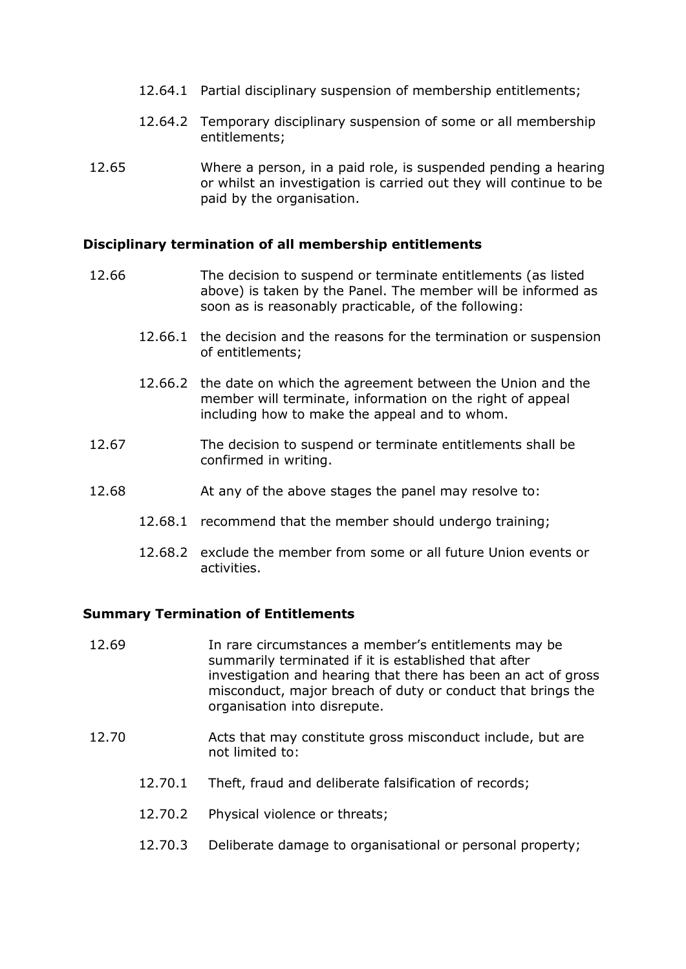- 12.64.1 Partial disciplinary suspension of membership entitlements;
- 12.64.2 Temporary disciplinary suspension of some or all membership entitlements;
- 12.65 Where a person, in a paid role, is suspended pending a hearing or whilst an investigation is carried out they will continue to be paid by the organisation.

#### **Disciplinary termination of all membership entitlements**

- 12.66 The decision to suspend or terminate entitlements (as listed above) is taken by the Panel. The member will be informed as soon as is reasonably practicable, of the following:
	- 12.66.1 the decision and the reasons for the termination or suspension of entitlements;
	- 12.66.2 the date on which the agreement between the Union and the member will terminate, information on the right of appeal including how to make the appeal and to whom.
- 12.67 The decision to suspend or terminate entitlements shall be confirmed in writing.
- 12.68 At any of the above stages the panel may resolve to:
	- 12.68.1 recommend that the member should undergo training;
	- 12.68.2 exclude the member from some or all future Union events or activities.

#### **Summary Termination of Entitlements**

- 12.69 In rare circumstances a member's entitlements may be summarily terminated if it is established that after investigation and hearing that there has been an act of gross misconduct, major breach of duty or conduct that brings the organisation into disrepute.
- 12.70 Acts that may constitute gross misconduct include, but are not limited to:
	- 12.70.1 Theft, fraud and deliberate falsification of records;
	- 12.70.2 Physical violence or threats;
	- 12.70.3 Deliberate damage to organisational or personal property;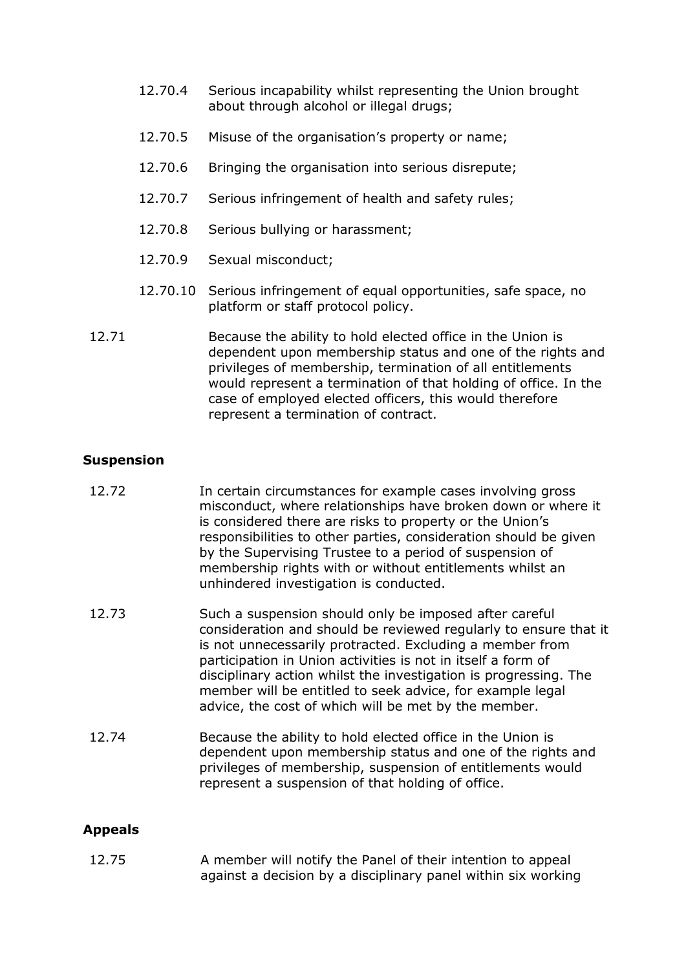- 12.70.4 Serious incapability whilst representing the Union brought about through alcohol or illegal drugs;
- 12.70.5 Misuse of the organisation's property or name;
- 12.70.6 Bringing the organisation into serious disrepute;
- 12.70.7 Serious infringement of health and safety rules;
- 12.70.8 Serious bullying or harassment;
- 12.70.9 Sexual misconduct;
- 12.70.10 Serious infringement of equal opportunities, safe space, no platform or staff protocol policy.
- 12.71 Because the ability to hold elected office in the Union is dependent upon membership status and one of the rights and privileges of membership, termination of all entitlements would represent a termination of that holding of office. In the case of employed elected officers, this would therefore represent a termination of contract.

#### **Suspension**

- 12.72 In certain circumstances for example cases involving gross misconduct, where relationships have broken down or where it is considered there are risks to property or the Union's responsibilities to other parties, consideration should be given by the Supervising Trustee to a period of suspension of membership rights with or without entitlements whilst an unhindered investigation is conducted.
- 12.73 Such a suspension should only be imposed after careful consideration and should be reviewed regularly to ensure that it is not unnecessarily protracted. Excluding a member from participation in Union activities is not in itself a form of disciplinary action whilst the investigation is progressing. The member will be entitled to seek advice, for example legal advice, the cost of which will be met by the member.
- 12.74 Because the ability to hold elected office in the Union is dependent upon membership status and one of the rights and privileges of membership, suspension of entitlements would represent a suspension of that holding of office.

## **Appeals**

12.75 A member will notify the Panel of their intention to appeal against a decision by a disciplinary panel within six working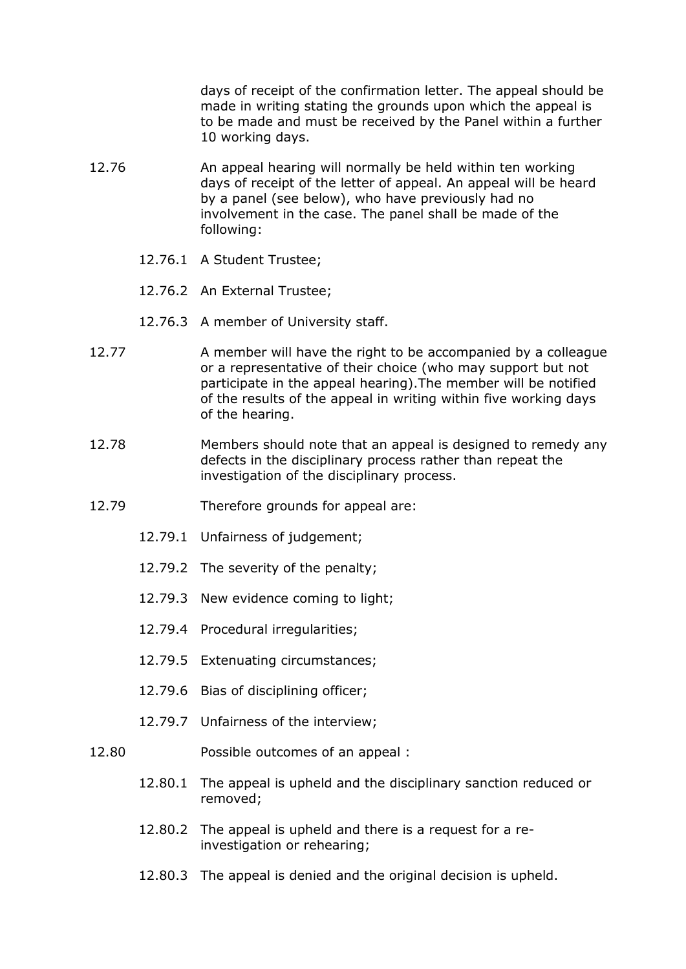days of receipt of the confirmation letter. The appeal should be made in writing stating the grounds upon which the appeal is to be made and must be received by the Panel within a further 10 working days.

- 12.76 An appeal hearing will normally be held within ten working days of receipt of the letter of appeal. An appeal will be heard by a panel (see below), who have previously had no involvement in the case. The panel shall be made of the following:
	- 12.76.1 A Student Trustee;
	- 12.76.2 An External Trustee;
	- 12.76.3 A member of University staff.
- 12.77 A member will have the right to be accompanied by a colleague or a representative of their choice (who may support but not participate in the appeal hearing).The member will be notified of the results of the appeal in writing within five working days of the hearing.
- 12.78 Members should note that an appeal is designed to remedy any defects in the disciplinary process rather than repeat the investigation of the disciplinary process.
- 12.79 Therefore grounds for appeal are:
	- 12.79.1 Unfairness of judgement;
	- 12.79.2 The severity of the penalty;
	- 12.79.3 New evidence coming to light;
	- 12.79.4 Procedural irregularities;
	- 12.79.5 Extenuating circumstances;
	- 12.79.6 Bias of disciplining officer;
	- 12.79.7 Unfairness of the interview;
- 12.80 Possible outcomes of an appeal :
	- 12.80.1 The appeal is upheld and the disciplinary sanction reduced or removed;
	- 12.80.2 The appeal is upheld and there is a request for a reinvestigation or rehearing;
	- 12.80.3 The appeal is denied and the original decision is upheld.